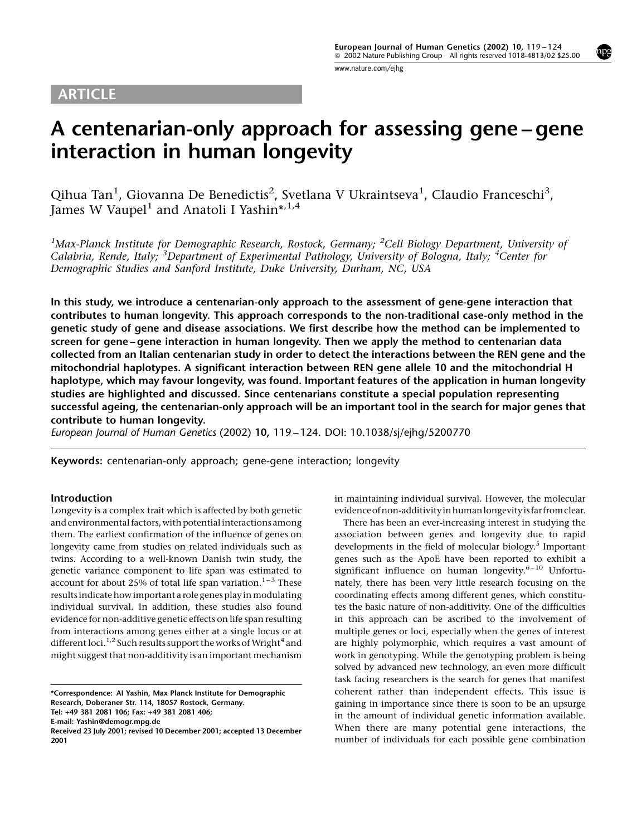## <span id="page-0-0"></span>ARTICLE

mpg

# A centenarian-only approach for assessing gene-gene interaction in human longevity

Qihua Tan<sup>1</sup>, Giovanna De Benedictis<sup>2</sup>, Svetlana V Ukraintseva<sup>1</sup>, Claudio Franceschi<sup>3</sup>, James W Vaupel<sup>1</sup> and Anatoli I Yashin\*,<sup>1,4</sup>

<sup>1</sup>Max-Planck Institute for Demographic Research, Rostock, Germany; <sup>2</sup>Cell Biology Department, University of Calabria, Rende, Italy; <sup>3</sup>Department of Experimental Pathology, University of Bologna, Italy; <sup>4</sup>Center for Demographic Studies and Sanford Institute, Duke University, Durham, NC, USA

In this study, we introduce a centenarian-only approach to the assessment of gene-gene interaction that contributes to human longevity. This approach corresponds to the non-traditional case-only method in the genetic study of gene and disease associations. We first describe how the method can be implemented to screen for gene-gene interaction in human longevity. Then we apply the method to centenarian data collected from an Italian centenarian study in order to detect the interactions between the REN gene and the mitochondrial haplotypes. A significant interaction between REN gene allele 10 and the mitochondrial H haplotype, which may favour longevity, was found. Important features of the application in human longevity studies are highlighted and discussed. Since centenarians constitute a special population representing successful ageing, the centenarian-only approach will be an important tool in the search for major genes that contribute to human longevity.

European Journal of Human Genetics (2002) 10, 119-124. DOI: 10.1038/sj/ejhg/5200770

Keywords: centenarian-only approach; gene-gene interaction; longevity

### Introduction

Longevity is a complex trait which is affected by both genetic and environmental factors, with potential interactions among them. The earliest confirmation of the influence of genes on longevity came from studies on related individuals such as twins. According to a well-known Danish twin study, the genetic variance component to life span was estimated to account for about 25% of total life span variation.<sup>1-3</sup> These results indicate how important a role genes play inmodulating individual survival. In addition, these studies also found evidence for non-additive genetic effects on life span resulting from interactions among genes either at a single locus or at different loci.<sup>[1,2](#page-4-0)</sup> Such results support the works of Wright<sup>[4](#page-4-0)</sup> and might suggest that non-additivity is an important mechanism

Tel: +49 381 2081 106; Fax: +49 381 2081 406;

E-mail: Yashin@demogr.mpg.de

in maintaining individual survival. However, the molecular evidenceofnon-additivity inhuman longevity is far fromclear.

There has been an ever-increasing interest in studying the association between genes and longevity due to rapid developments in the field of molecular biology.<sup>[5](#page-4-0)</sup> Important genes such as the ApoE have been reported to exhibit a significant influence on human longevity. $6-10$  [Unfortu](#page-4-0)[nately, there has been very little research focusing on the](#page-4-0) [coordinating effects among different genes, which constitu](#page-4-0)[tes the basic nature of non-additivity. One of the difficulties](#page-4-0) [in this approach can be ascribed to the involvement of](#page-4-0) [multiple genes or loci, especially when the genes of interest](#page-4-0) [are highly polymorphic, which requires a vast amount of](#page-4-0) [work in genotyping. While the genotyping problem is being](#page-4-0) [solved by advanced new technology, an even more difficult](#page-4-0) [task facing researchers is the search for genes that manifest](#page-4-0) [coherent rather than independent effects. This issue is](#page-4-0) [gaining in importance since there is soon to be an upsurge](#page-4-0) [in the amount of individual genetic information available.](#page-4-0) [When there are many potential gene interactions, the](#page-4-0) [number of individuals for each possible gene combination](#page-4-0)

<sup>\*</sup>Correspondence: AI Yashin, Max Planck Institute for Demographic Research, Doberaner Str. 114, 18057 Rostock, Germany.

Received 23 July 2001; revised 10 December 2001; accepted 13 December 2001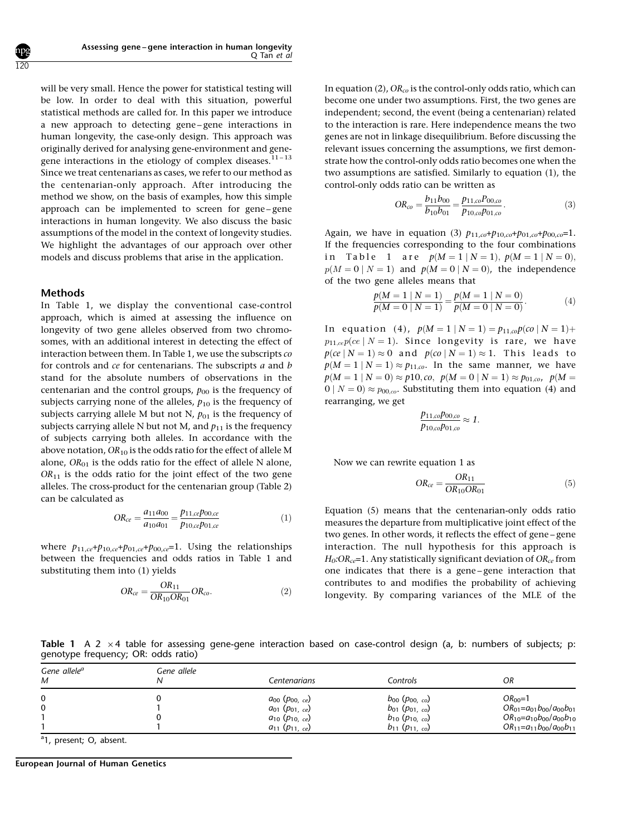[will be very small. Hence the power for statistical testing will](#page-4-0) [be low. In order to deal with this situation, powerful](#page-4-0) [statistical methods are called for. In this paper we introduce](#page-4-0) a new approach to detecting gene-gene interactions in [human longevity, the case-only design. This approach was](#page-4-0) [originally derived for analysing gene-environment and gene](#page-4-0)[gene interactions in the etiology of complex diseases.](#page-4-0) $11 - 13$ [Since we treat centenarians as cases, we refer to our method as](#page-4-0) [the centenarian-only approach. After introducing the](#page-4-0) [method we show, on the basis of examples, how this simple](#page-4-0) approach can be implemented to screen for gene-gene [interactions in human longevity. We also discuss the basic](#page-4-0) [assumptions of the model in the context of longevity studies.](#page-4-0) [We highlight the advantages of our approach over other](#page-4-0) [models and discuss problems that arise in the application.](#page-4-0)

#### Methods

<span id="page-1-0"></span>120

In Table 1, we display the conventional case-control approach, which is aimed at assessing the influence on longevity of two gene alleles observed from two chromosomes, with an additional interest in detecting the effect of interaction between them. In [Table 1](#page-0-0), we use the subscripts co for controls and ce for centenarians. The subscripts a and b stand for the absolute numbers of observations in the centenarian and the control groups,  $p_{00}$  is the frequency of subjects carrying none of the alleles,  $p_{10}$  is the frequency of subjects carrying allele M but not N,  $p_{01}$  is the frequency of subjects carrying allele N but not M, and  $p_{11}$  is the frequency of subjects carrying both alleles. In accordance with the above notation,  $OR_{10}$  is the odds ratio for the effect of allele M alone,  $OR_{01}$  is the odds ratio for the effect of allele N alone,  $OR<sub>11</sub>$  is the odds ratio for the joint effect of the two gene alleles. The cross-product for the centenarian group [\(Table 2](#page-2-0)) can be calculated as

$$
OR_{ce} = \frac{a_{11}a_{00}}{a_{10}a_{01}} = \frac{p_{11,ce}p_{00,ce}}{p_{10,ce}p_{01,ce}}
$$
(1)

where  $p_{11,ce} + p_{10,ce} + p_{01,ce} + p_{00,ce} = 1$ . Using the relationships between the frequencies and odds ratios in [Table 1](#page-0-0) and substituting them into (1) yields

$$
OR_{ce} = \frac{OR_{11}}{OR_{10}OR_{01}}OR_{co}.
$$
 (2)

In equation (2),  $OR_{co}$  is the control-only odds ratio, which can become one under two assumptions. First, the two genes are independent; second, the event (being a centenarian) related to the interaction is rare. Here independence means the two genes are not in linkage disequilibrium. Before discussing the relevant issues concerning the assumptions, we first demonstrate how the control-only odds ratio becomes one when the two assumptions are satisfied. Similarly to equation (1), the control-only odds ratio can be written as

$$
OR_{co} = \frac{b_{11}b_{00}}{b_{10}b_{01}} = \frac{p_{11,co}P_{00,co}}{p_{10,co}p_{01,co}}.
$$
 (3)

Again, we have in equation (3)  $p_{11,co} + p_{10,co} + p_{01,co} + p_{00,co} = 1$ . If the frequencies corresponding to the four combinations in [Table 1](#page-0-0) are  $p(M = 1 | N = 1), p(M = 1 | N = 0),$  $p(M = 0 | N = 1)$  and  $p(M = 0 | N = 0)$ , the independence of the two gene alleles means that

$$
\frac{p(M=1 | N=1)}{p(M=0 | N=1)} = \frac{p(M=1 | N=0)}{p(M=0 | N=0)}.
$$
\n(4)

In equation (4),  $p(M = 1 | N = 1) = p_{11,co}p(co | N = 1) +$  $p_{11,ce}p(ce | N = 1)$ . Since longevity is rare, we have  $p(ce | N = 1) \approx 0$  and  $p(co | N = 1) \approx 1$ . This leads to  $p(M = 1 | N = 1) \approx p_{11,co}$ . In the same manner, we have  $p(M = 1 | N = 0) \approx p10$ , co,  $p(M = 0 | N = 1) \approx p_{01,eq}$ ,  $p(M = 1)$  $0 | N = 0$   $\approx$   $p_{00,co}$ . Substituting them into equation (4) and rearranging, we get

$$
\frac{p_{11,co}p_{00,co}}{p_{10,co}p_{01,co}} \approx 1.
$$

Now we can rewrite equation 1 as

$$
OR_{ce} = \frac{OR_{11}}{OR_{10}OR_{01}} \tag{5}
$$

Equation (5) means that the centenarian-only odds ratio measures the departure from multiplicative joint effect of the two genes. In other words, it reflects the effect of gene-gene interaction. The null hypothesis for this approach is  $H_0$ :OR<sub>ce</sub>=1. Any statistically significant deviation of OR<sub>ce</sub> from one indicates that there is a gene-gene interaction that contributes to and modifies the probability of achieving longevity. By comparing variances of the MLE of the

Table 1 A 2  $\times$  4 table for assessing gene-gene interaction based on case-control design (a, b: numbers of subjects; p: genotype frequency; OR: odds ratio)

| Gene allele <sup>a</sup><br>M | Gene allele | Centenarians                                                                        | Controls                                                                            | ΟR                                                                                         |
|-------------------------------|-------------|-------------------------------------------------------------------------------------|-------------------------------------------------------------------------------------|--------------------------------------------------------------------------------------------|
| 0<br>0                        |             | $a_{00}$ ( $p_{00, ce}$ )<br>$a_{01}$ ( $p_{01, ce}$ )<br>$a_{10}$ ( $p_{10,c_e}$ ) | $b_{00}$ ( $p_{00, co}$ )<br>$b_{01}$ ( $p_{01, co}$ )<br>$b_{10}$ ( $p_{10,c_0}$ ) | $OR00=1$<br>$OR_{01} = a_{01}b_{00}/a_{00}b_{01}$<br>$OR_{10} = a_{10}b_{00}/a_{00}b_{10}$ |
|                               |             | $a_{11}$ ( $p_{11, ce}$ )                                                           | $b_{11}$ ( $p_{11.c}$ )                                                             | $OR_{11}=a_{11}b_{00}/a_{00}b_{11}$                                                        |

<sup>a</sup>1, present; O, absent.

European Journal of Human Genetics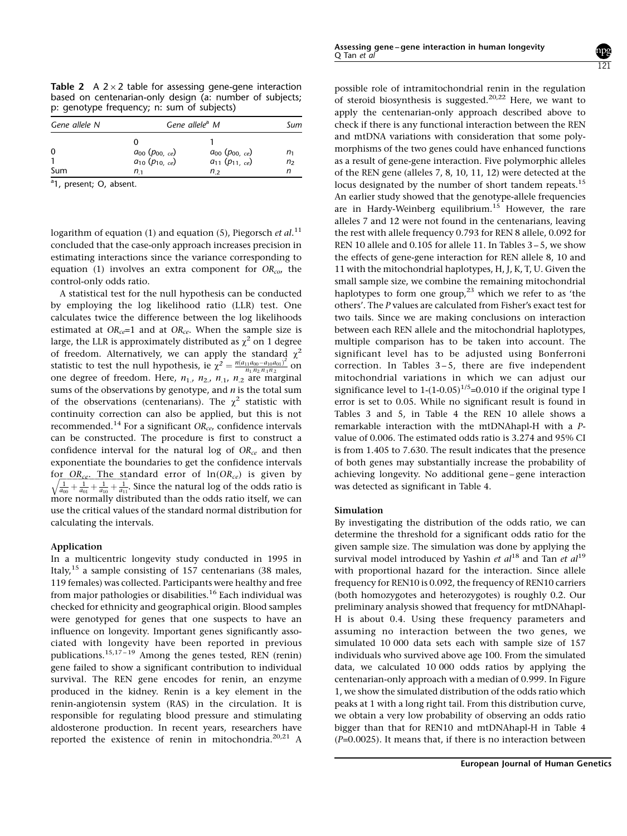<span id="page-2-0"></span>**Table 2** A  $2 \times 2$  table for assessing gene-gene interaction based on centenarian-only design (a: number of subjects; p: genotype frequency; n: sum of subjects)

| Gene allele N   | Gene allele <sup>a</sup> M                           |                                                               |          |
|-----------------|------------------------------------------------------|---------------------------------------------------------------|----------|
| $\Omega$<br>Sum | $a_{00} (p_{00, ce})$<br>$a_{10} (p_{10, ce})$<br>n, | $a_{00}$ ( $p_{00, ce}$ )<br>$a_{11} (p_{11, ce})$<br>$n_{2}$ | n,<br>n, |

<sup>a</sup>1, present; O, absent.

logarithm of [equation \(1\)](#page-1-0) and [equation \(5\)](#page-1-0), Piegorsch et al.<sup>[11](#page-4-0)</sup> concluded that the case-only approach increases precision in estimating interactions since the variance corresponding to [equation \(1\)](#page-1-0) involves an extra component for  $OR_{co}$ , the control-only odds ratio.

A statistical test for the null hypothesis can be conducted by employing the log likelihood ratio (LLR) test. One calculates twice the difference between the log likelihoods estimated at  $OR_{ce}=1$  and at  $OR_{ce}$ . When the sample size is large, the LLR is approximately distributed as  $\chi^2$  on 1 degree of freedom. Alternatively, we can apply the standard  $\chi^2$ statistic to test the null hypothesis, ie  $\chi^2 = \frac{n(a_{11}a_{00} - a_{10}a_{01})^2}{n_1.n_2.n_1 n_2}$  on one degree of freedom. Here,  $n_1$ ,  $n_2$ ,  $n_1$ ,  $n_2$  are marginal sums of the observations by genotype, and  $n$  is the total sum of the observations (centenarians). The  $\chi^2$  statistic with continuity correction can also be applied, but this is not recommended.<sup>[14](#page-4-0)</sup> For a significant  $OR_{ce}$ , confidence intervals can be constructed. The procedure is first to construct a confidence interval for the natural log of  $OR_{ce}$  and then exponentiate the boundaries to get the confidence intervals for <u>OR<sub>ce</sub>. The st</u>andard error of  $ln(OR_{ce})$  is given by  $\sqrt{\frac{1}{a_{00}} + \frac{1}{a_{01}} + \frac{1}{a_{10}} + \frac{1}{a_{11}}}$ . Since the natural log of the odds ratio is more normally distributed than the odds ratio itself, we can use the critical values of the standard normal distribution for calculating the intervals.

#### Application

In a multicentric longevity study conducted in 1995 in Italy,<sup>[15](#page-4-0)</sup> a sample consisting of 157 centenarians (38 males, 119 females) was collected. Participants were healthy and free from major pathologies or disabilities.<sup>[16](#page-4-0)</sup> Each individual was checked for ethnicity and geographical origin. Blood samples were genotyped for genes that one suspects to have an influence on longevity. Important genes significantly associated with longevity have been reported in previous publications.<sup>15,17-19</sup> Among the genes tested, REN (renin) gene failed to show a significant contribution to individual survival. The REN gene encodes for renin, an enzyme produced in the kidney. Renin is a key element in the renin-angiotensin system (RAS) in the circulation. It is responsible for regulating blood pressure and stimulating aldosterone production. In recent years, researchers have reported the existence of renin in mitochondria.<sup>[20,21](#page-5-0)</sup> A 121

possible role of intramitochondrial renin in the regulation of steroid biosynthesis is suggested.<sup>[20,22](#page-5-0)</sup> Here, we want to apply the centenarian-only approach described above to check if there is any functional interaction between the REN and mtDNA variations with consideration that some polymorphisms of the two genes could have enhanced functions as a result of gene-gene interaction. Five polymorphic alleles of the REN gene (alleles 7, 8, 10, 11, 12) were detected at the locus designated by the number of short tandem repeats.<sup>[15](#page-4-0)</sup> An earlier study showed that the genotype-allele frequencies are in Hardy-Weinberg equilibrium.<sup>[15](#page-4-0)</sup> However, the rare alleles 7 and 12 were not found in the centenarians, leaving the rest with allele frequency 0.793 for REN 8 allele, 0.092 for REN 10 allele and  $0.105$  for allele 11. In Tables  $3-5$ [, we show](#page-0-0) [the effects of gene-gene interaction for REN allele 8, 10 and](#page-0-0) [11 with the mitochondrial haplotypes, H, J, K, T, U. Given the](#page-0-0) [small sample size, we combine the remaining mitochondrial](#page-0-0) [haplotypes to form one group,](#page-0-0)<sup>[23](#page-5-0)</sup> which we refer to as 'the [others'. The](#page-0-0) [P](#page-0-0) [values are calculated from Fisher's exact test for](#page-0-0) [two tails. Since we are making conclusions on interaction](#page-0-0) [between each REN allele and the mitochondrial haplotypes,](#page-0-0) [multiple comparison has to be taken into account. The](#page-0-0) [significant level has to be adjusted using Bonferroni](#page-0-0) correction. In Tables  $3-5$ , there are five independent [mitochondrial variations in which we can adjust our](#page-0-0) significance level to  $1-(1-0.05)^{1/5}=0.010$  if the original type I [error is set to 0.05. While no significant result is found in](#page-0-0) [Tables 3 and 5, in Table 4 the REN 10 allele shows a](#page-0-0) [remarkable interaction with the mtDNAhapl-H with a](#page-0-0) [P](#page-0-0)[value of 0.006. The estimated odds ratio is 3.274 and 95% CI](#page-0-0) [is from 1.405 to 7.630. The result indicates that the presence](#page-0-0) [of both genes may substantially increase the probability of](#page-0-0) achieving longevity. No additional gene-gene interaction [was detected as significant in Table 4.](#page-0-0)

#### Simulation

By investigating the distribution of the odds ratio, we can determine the threshold for a significant odds ratio for the given sample size. The simulation was done by applying the survival model introduced by Yashin et  $al^{18}$  $al^{18}$  $al^{18}$  and Tan et  $al^{19}$  $al^{19}$  $al^{19}$ with proportional hazard for the interaction. Since allele frequency for REN10 is 0.092, the frequency of REN10 carriers (both homozygotes and heterozygotes) is roughly 0.2. Our preliminary analysis showed that frequency for mtDNAhapl-H is about 0.4. Using these frequency parameters and assuming no interaction between the two genes, we simulated 10 000 data sets each with sample size of 157 individuals who survived above age 100. From the simulated data, we calculated 10 000 odds ratios by applying the centenarian-only approach with a median of 0.999. In [Figure](#page-3-0) [1,](#page-3-0) we show the simulated distribution of the odds ratio which peaks at 1 with a long right tail. From this distribution curve, we obtain a very low probability of observing an odds ratio bigger than that for REN10 and mtDNAhapl-H in [Table 4](#page-0-0)  $(P=0.0025)$ . It means that, if there is no interaction between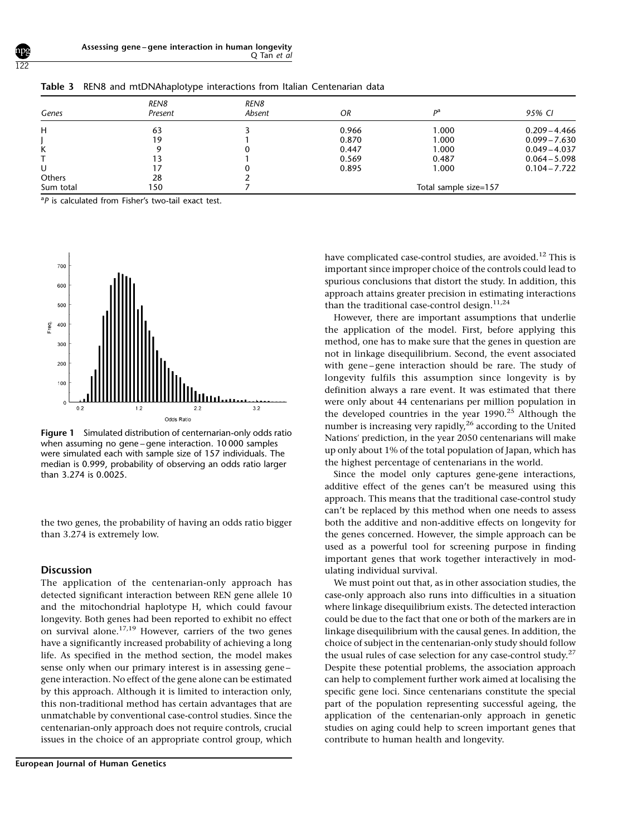| Genes         | REN8<br>Present | REN8<br>Absent | OR                    | nа    | 95% CI          |
|---------------|-----------------|----------------|-----------------------|-------|-----------------|
| н             | 63              |                | 0.966                 | 1.000 | $0.209 - 4.466$ |
|               | 19              |                | 0.870                 | 1.000 | $0.099 - 7.630$ |
| Κ             |                 |                | 0.447                 | 1.000 | $0.049 - 4.037$ |
|               | 13              |                | 0.569                 | 0.487 | $0.064 - 5.098$ |
| U             |                 |                | 0.895                 | 1.000 | $0.104 - 7.722$ |
| <b>Others</b> | 28              |                |                       |       |                 |
| Sum total     | 150             |                | Total sample size=157 |       |                 |

<span id="page-3-0"></span>Table 3 REN8 and mtDNAhaplotype interactions from Italian Centenarian data

<sup>a</sup>P is calculated from Fisher's two-tail exact test.



Figure 1 Simulated distribution of centernarian-only odds ratio when assuming no gene-gene interaction. 10 000 samples were simulated each with sample size of 157 individuals. The median is 0.999, probability of observing an odds ratio larger than 3.274 is 0.0025.

the two genes, the probability of having an odds ratio bigger than 3.274 is extremely low.

#### **Discussion**

The application of the centenarian-only approach has detected significant interaction between REN gene allele 10 and the mitochondrial haplotype H, which could favour longevity. Both genes had been reported to exhibit no effect on survival alone.<sup>[17](#page-4-0),[19](#page-5-0)</sup> However, carriers of the two genes have a significantly increased probability of achieving a long life. As specified in the method section, the model makes sense only when our primary interest is in assessing genegene interaction. No effect of the gene alone can be estimated by this approach. Although it is limited to interaction only, this non-traditional method has certain advantages that are unmatchable by conventional case-control studies. Since the centenarian-only approach does not require controls, crucial issues in the choice of an appropriate control group, which

European Journal of Human Genetics

have complicated case-control studies, are avoided.<sup>[12](#page-4-0)</sup> This is important since improper choice of the controls could lead to spurious conclusions that distort the study. In addition, this approach attains greater precision in estimating interactions than the traditional case-control design. $11,24$  $11,24$ 

However, there are important assumptions that underlie the application of the model. First, before applying this method, one has to make sure that the genes in question are not in linkage disequilibrium. Second, the event associated with gene-gene interaction should be rare. The study of longevity fulfils this assumption since longevity is by definition always a rare event. It was estimated that there were only about 44 centenarians per million population in the developed countries in the year  $1990.<sup>25</sup>$  $1990.<sup>25</sup>$  $1990.<sup>25</sup>$  Although the number is increasing very rapidly, $^{26}$  $^{26}$  $^{26}$  according to the United Nations' prediction, in the year 2050 centenarians will make up only about 1% of the total population of Japan, which has the highest percentage of centenarians in the world.

Since the model only captures gene-gene interactions, additive effect of the genes can't be measured using this approach. This means that the traditional case-control study can't be replaced by this method when one needs to assess both the additive and non-additive effects on longevity for the genes concerned. However, the simple approach can be used as a powerful tool for screening purpose in finding important genes that work together interactively in modulating individual survival.

We must point out that, as in other association studies, the case-only approach also runs into difficulties in a situation where linkage disequilibrium exists. The detected interaction could be due to the fact that one or both of the markers are in linkage disequilibrium with the causal genes. In addition, the choice of subject in the centenarian-only study should follow the usual rules of case selection for any case-control study. $27$ Despite these potential problems, the association approach can help to complement further work aimed at localising the specific gene loci. Since centenarians constitute the special part of the population representing successful ageing, the application of the centenarian-only approach in genetic studies on aging could help to screen important genes that contribute to human health and longevity.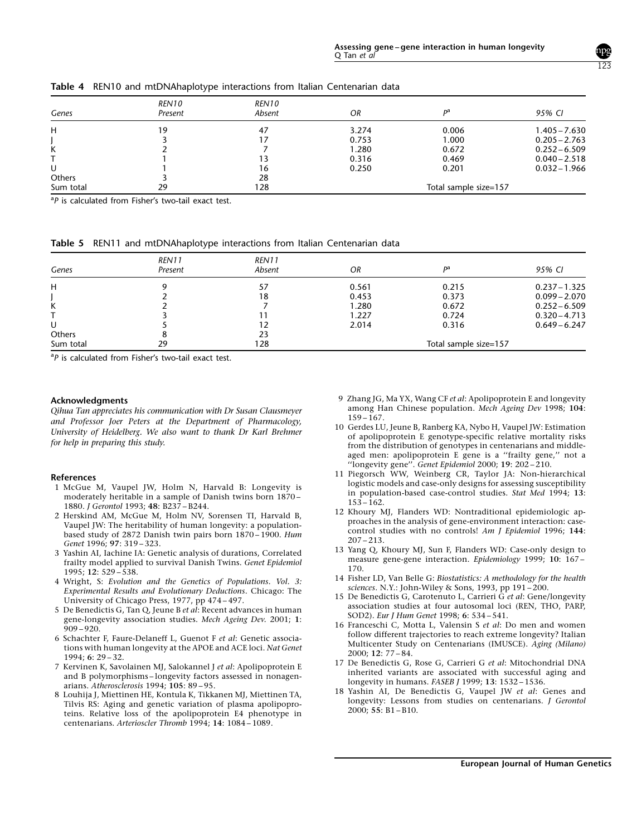| Genes     | REN10<br>Present | REN10<br>Absent | OR    | Dа                    | 95% CI          |
|-----------|------------------|-----------------|-------|-----------------------|-----------------|
| н         | 19               | 47              | 3.274 | 0.006                 | $1.405 - 7.630$ |
|           |                  |                 | 0.753 | 1.000                 | $0.205 - 2.763$ |
| Κ         |                  |                 | 1.280 | 0.672                 | $0.252 - 6.509$ |
|           |                  |                 | 0.316 | 0.469                 | $0.040 - 2.518$ |
| U         |                  | 16              | 0.250 | 0.201                 | $0.032 - 1.966$ |
| Others    |                  | 28              |       |                       |                 |
| Sum total | 29               | 128             |       | Total sample size=157 |                 |

<span id="page-4-0"></span>Table 4 REN10 and mtDNAhaplotype interactions from Italian Centenarian data

<sup>a</sup>P is calculated from Fisher's two-tail exact test.

Table 5 REN11 and mtDNAhaplotype interactions from Italian Centenarian data

| Genes     | REN11<br>Present | REN11<br>Absent | OR                    | nа    | 95% CI          |
|-----------|------------------|-----------------|-----------------------|-------|-----------------|
| н         |                  |                 | 0.561                 | 0.215 | $0.237 - 1.325$ |
|           |                  | 18              | 0.453                 | 0.373 | $0.099 - 2.070$ |
| Κ         |                  |                 | 1.280                 | 0.672 | $0.252 - 6.509$ |
|           |                  |                 | 1.227                 | 0.724 | $0.320 - 4.713$ |
| U         |                  |                 | 2.014                 | 0.316 | $0.649 - 6.247$ |
| Others    |                  | 23              |                       |       |                 |
| Sum total | 29               | 128             | Total sample size=157 |       |                 |

<sup>a</sup>P is calculated from Fisher's two-tail exact test.

#### Acknowledgments

Qihua Tan appreciates his communication with Dr Susan Clausmeyer and Professor Joer Peters at the Department of Pharmacology, University of Heidelberg. We also want to thank Dr Karl Brehmer for help in preparing this study.

#### References

- 1 McGue M, Vaupel JW, Holm N, Harvald B: Longevity is moderately heritable in a sample of Danish twins born 1870 -1880. J Gerontol 1993; 48: B237-B244.
- 2 Herskind AM, McGue M, Holm NV, Sorensen TI, Harvald B, Vaupel JW: The heritability of human longevity: a populationbased study of 2872 Danish twin pairs born 1870-1900. Hum Genet 1996; 97: 319-323.
- 3 Yashin AI, Iachine IA: Genetic analysis of durations, Correlated frailty model applied to survival Danish Twins. Genet Epidemiol  $1995: 12: 529 - 538.$
- 4 Wright, S: Evolution and the Genetics of Populations. Vol. 3: Experimental Results and Evolutionary Deductions. Chicago: The University of Chicago Press, 1977, pp 474-497.
- 5 De Benedictis G, Tan Q, Jeune B et al: Recent advances in human gene-longevity association studies. Mech Ageing Dev. 2001; 1:  $909 - 920.$
- 6 Schachter F, Faure-Delaneff L, Guenot F et al: Genetic associations with human longevity at the APOE and ACE loci. Nat Genet  $1994: 6: 29-32.$
- 7 Kervinen K, Savolainen MJ, Salokannel J et al: Apolipoprotein E and B polymorphisms-longevity factors assessed in nonagenarians. Atherosclerosis 1994;  $105: 89-95$ .
- 8 Louhija J, Miettinen HE, Kontula K, Tikkanen MJ, Miettinen TA, Tilvis RS: Aging and genetic variation of plasma apolipoproteins. Relative loss of the apolipoprotein E4 phenotype in centenarians. Arterioscler Thromb 1994; 14: 1084-1089.
- 9 Zhang JG, Ma YX, Wang CF et al: Apolipoprotein E and longevity among Han Chinese population. Mech Ageing Dev 1998; 104:  $159 - 167.$
- 10 Gerdes LU, Jeune B, Ranberg KA, Nybo H, Vaupel JW: Estimation of apolipoprotein E genotype-specific relative mortality risks from the distribution of genotypes in centenarians and middleaged men: apolipoprotein E gene is a "frailty gene," not a "Iongevity gene". Genet Epidemiol 2000; 19:  $202 - 210$ .
- 11 Piegorsch WW, Weinberg CR, Taylor JA: Non-hierarchical logistic models and case-only designs for assessing susceptibility in population-based case-control studies. Stat Med 1994; 13:  $153 - 162$ .
- 12 Khoury MJ, Flanders WD: Nontraditional epidemiologic approaches in the analysis of gene-environment interaction: casecontrol studies with no controls! Am J Epidemiol 1996; 144:  $207 - 213$ .
- 13 Yang Q, Khoury MJ, Sun F, Flanders WD: Case-only design to measure gene-gene interaction. Epidemiology 1999; 10: 167-170.
- 14 Fisher LD, Van Belle G: Biostatistics: A methodology for the health sciences. N.Y.: John-Wiley & Sons, 1993, pp 191-200.
- 15 De Benedictis G, Carotenuto L, Carrieri G et al: Gene/longevity association studies at four autosomal loci (REN, THO, PARP, SOD2). Eur J Hum Genet 1998; 6: 534-541.
- 16 Franceschi C, Motta L, Valensin S et al: Do men and women follow different trajectories to reach extreme longevity? Italian Multicenter Study on Centenarians (IMUSCE). Aging (Milano)  $2000: 12: 77 - 84.$
- 17 De Benedictis G, Rose G, Carrieri G et al: Mitochondrial DNA inherited variants are associated with successful aging and longevity in humans. FASEB J 1999; 13: 1532-1536.
- 18 Yashin AI, De Benedictis G, Vaupel JW et al: Genes and longevity: Lessons from studies on centenarians. J Gerontol 2000; 55:  $B1 - B10$ .